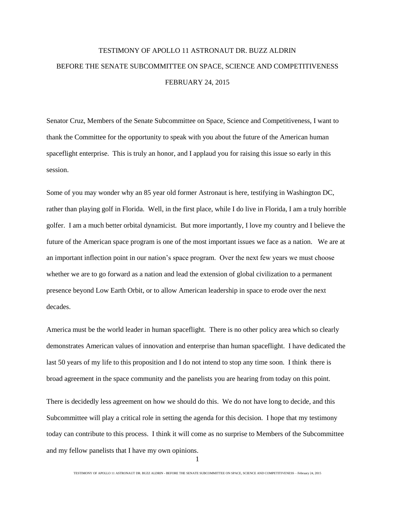## TESTIMONY OF APOLLO 11 ASTRONAUT DR. BUZZ ALDRIN BEFORE THE SENATE SUBCOMMITTEE ON SPACE, SCIENCE AND COMPETITIVENESS FEBRUARY 24, 2015

Senator Cruz, Members of the Senate Subcommittee on Space, Science and Competitiveness, I want to thank the Committee for the opportunity to speak with you about the future of the American human spaceflight enterprise. This is truly an honor, and I applaud you for raising this issue so early in this session.

Some of you may wonder why an 85 year old former Astronaut is here, testifying in Washington DC, rather than playing golf in Florida. Well, in the first place, while I do live in Florida, I am a truly horrible golfer. I am a much better orbital dynamicist. But more importantly, I love my country and I believe the future of the American space program is one of the most important issues we face as a nation. We are at an important inflection point in our nation's space program. Over the next few years we must choose whether we are to go forward as a nation and lead the extension of global civilization to a permanent presence beyond Low Earth Orbit, or to allow American leadership in space to erode over the next decades.

America must be the world leader in human spaceflight. There is no other policy area which so clearly demonstrates American values of innovation and enterprise than human spaceflight. I have dedicated the last 50 years of my life to this proposition and I do not intend to stop any time soon. I think there is broad agreement in the space community and the panelists you are hearing from today on this point.

There is decidedly less agreement on how we should do this. We do not have long to decide, and this Subcommittee will play a critical role in setting the agenda for this decision. I hope that my testimony today can contribute to this process. I think it will come as no surprise to Members of the Subcommittee and my fellow panelists that I have my own opinions.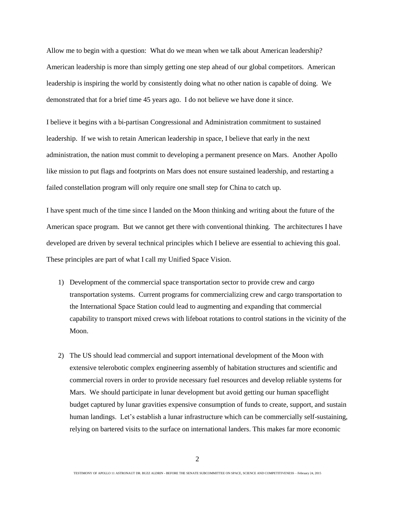Allow me to begin with a question: What do we mean when we talk about American leadership? American leadership is more than simply getting one step ahead of our global competitors. American leadership is inspiring the world by consistently doing what no other nation is capable of doing. We demonstrated that for a brief time 45 years ago. I do not believe we have done it since.

I believe it begins with a bi-partisan Congressional and Administration commitment to sustained leadership. If we wish to retain American leadership in space, I believe that early in the next administration, the nation must commit to developing a permanent presence on Mars. Another Apollo like mission to put flags and footprints on Mars does not ensure sustained leadership, and restarting a failed constellation program will only require one small step for China to catch up.

I have spent much of the time since I landed on the Moon thinking and writing about the future of the American space program. But we cannot get there with conventional thinking. The architectures I have developed are driven by several technical principles which I believe are essential to achieving this goal. These principles are part of what I call my Unified Space Vision.

- 1) Development of the commercial space transportation sector to provide crew and cargo transportation systems. Current programs for commercializing crew and cargo transportation to the International Space Station could lead to augmenting and expanding that commercial capability to transport mixed crews with lifeboat rotations to control stations in the vicinity of the Moon.
- 2) The US should lead commercial and support international development of the Moon with extensive telerobotic complex engineering assembly of habitation structures and scientific and commercial rovers in order to provide necessary fuel resources and develop reliable systems for Mars. We should participate in lunar development but avoid getting our human spaceflight budget captured by lunar gravities expensive consumption of funds to create, support, and sustain human landings. Let's establish a lunar infrastructure which can be commercially self-sustaining, relying on bartered visits to the surface on international landers. This makes far more economic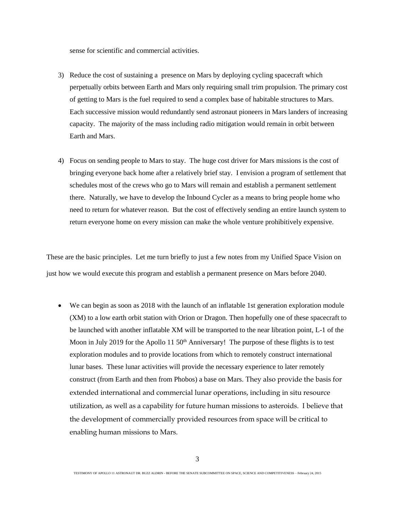sense for scientific and commercial activities.

- 3) Reduce the cost of sustaining a presence on Mars by deploying cycling spacecraft which perpetually orbits between Earth and Mars only requiring small trim propulsion. The primary cost of getting to Mars is the fuel required to send a complex base of habitable structures to Mars. Each successive mission would redundantly send astronaut pioneers in Mars landers of increasing capacity. The majority of the mass including radio mitigation would remain in orbit between Earth and Mars.
- 4) Focus on sending people to Mars to stay. The huge cost driver for Mars missions is the cost of bringing everyone back home after a relatively brief stay. I envision a program of settlement that schedules most of the crews who go to Mars will remain and establish a permanent settlement there. Naturally, we have to develop the Inbound Cycler as a means to bring people home who need to return for whatever reason. But the cost of effectively sending an entire launch system to return everyone home on every mission can make the whole venture prohibitively expensive.

These are the basic principles. Let me turn briefly to just a few notes from my Unified Space Vision on just how we would execute this program and establish a permanent presence on Mars before 2040.

 We can begin as soon as 2018 with the launch of an inflatable 1st generation exploration module (XM) to a low earth orbit station with Orion or Dragon. Then hopefully one of these spacecraft to be launched with another inflatable XM will be transported to the near libration point, L-1 of the Moon in July 2019 for the Apollo 11  $50<sup>th</sup>$  Anniversary! The purpose of these flights is to test exploration modules and to provide locations from which to remotely construct international lunar bases. These lunar activities will provide the necessary experience to later remotely construct (from Earth and then from Phobos) a base on Mars. They also provide the basis for extended international and commercial lunar operations, including in situ resource utilization, as well as a capability for future human missions to asteroids. I believe that the development of commercially provided resources from space will be critical to enabling human missions to Mars.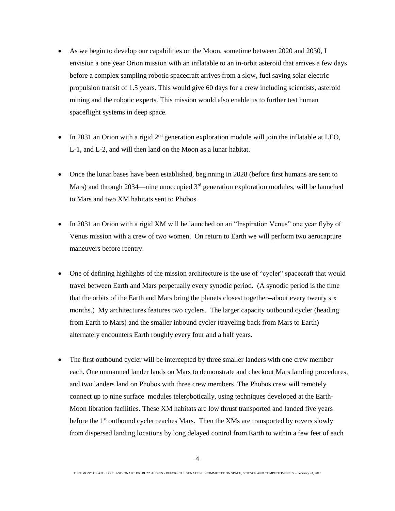- As we begin to develop our capabilities on the Moon, sometime between 2020 and 2030, I envision a one year Orion mission with an inflatable to an in-orbit asteroid that arrives a few days before a complex sampling robotic spacecraft arrives from a slow, fuel saving solar electric propulsion transit of 1.5 years. This would give 60 days for a crew including scientists, asteroid mining and the robotic experts. This mission would also enable us to further test human spaceflight systems in deep space.
- $\bullet$  In 2031 an Orion with a rigid  $2<sup>nd</sup>$  generation exploration module will join the inflatable at LEO, L-1, and L-2, and will then land on the Moon as a lunar habitat.
- Once the lunar bases have been established, beginning in 2028 (before first humans are sent to Mars) and through 2034—nine unoccupied 3<sup>rd</sup> generation exploration modules, will be launched to Mars and two XM habitats sent to Phobos.
- In 2031 an Orion with a rigid XM will be launched on an "Inspiration Venus" one year flyby of Venus mission with a crew of two women. On return to Earth we will perform two aerocapture maneuvers before reentry.
- One of defining highlights of the mission architecture is the use of "cycler" spacecraft that would travel between Earth and Mars perpetually every synodic period. (A synodic period is the time that the orbits of the Earth and Mars bring the planets closest together--about every twenty six months.) My architectures features two cyclers. The larger capacity outbound cycler (heading from Earth to Mars) and the smaller inbound cycler (traveling back from Mars to Earth) alternately encounters Earth roughly every four and a half years.
- The first outbound cycler will be intercepted by three smaller landers with one crew member each. One unmanned lander lands on Mars to demonstrate and checkout Mars landing procedures, and two landers land on Phobos with three crew members. The Phobos crew will remotely connect up to nine surface modules telerobotically, using techniques developed at the Earth-Moon libration facilities. These XM habitats are low thrust transported and landed five years before the 1<sup>st</sup> outbound cycler reaches Mars. Then the XMs are transported by rovers slowly from dispersed landing locations by long delayed control from Earth to within a few feet of each